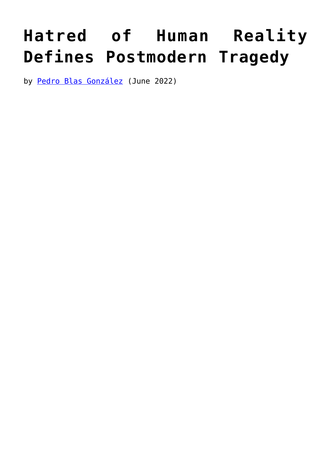## **[Hatred of Human Reality](https://www.newenglishreview.org/articles/hatred-of-human-reality-defines-postmodern-tragedy/) [Defines Postmodern Tragedy](https://www.newenglishreview.org/articles/hatred-of-human-reality-defines-postmodern-tragedy/)**

by [Pedro Blas González](https://www.newenglishreview.org/authors/pedro-blas-gonzalez/?) (June 2022)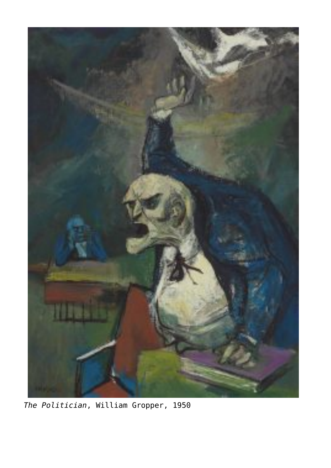

*The Politician*, William Gropper, 1950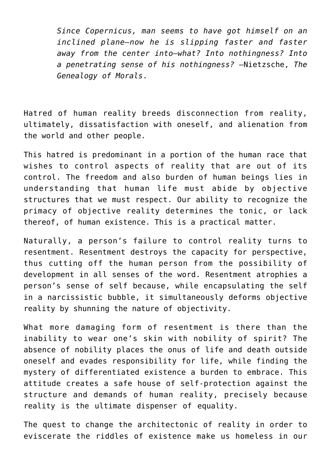*Since Copernicus, man seems to have got himself on an inclined plane—now he is slipping faster and faster away from the center into—what? Into nothingness? Into a penetrating sense of his nothingness? —*Nietzsche, *The Genealogy of Morals*.

Hatred of human reality breeds disconnection from reality, ultimately, dissatisfaction with oneself, and alienation from the world and other people.

This hatred is predominant in a portion of the human race that wishes to control aspects of reality that are out of its control. The freedom and also burden of human beings lies in understanding that human life must abide by objective structures that we must respect. Our ability to recognize the primacy of objective reality determines the tonic, or lack thereof, of human existence. This is a practical matter.

Naturally, a person's failure to control reality turns to resentment. Resentment destroys the capacity for perspective, thus cutting off the human person from the possibility of development in all senses of the word. Resentment atrophies a person's sense of self because, while encapsulating the self in a narcissistic bubble, it simultaneously deforms objective reality by shunning the nature of objectivity.

What more damaging form of resentment is there than the inability to wear one's skin with nobility of spirit? The absence of nobility places the onus of life and death outside oneself and evades responsibility for life, while finding the mystery of differentiated existence a burden to embrace. This attitude creates a safe house of self-protection against the structure and demands of human reality, precisely because reality is the ultimate dispenser of equality.

The quest to change the architectonic of reality in order to eviscerate the riddles of existence make us homeless in our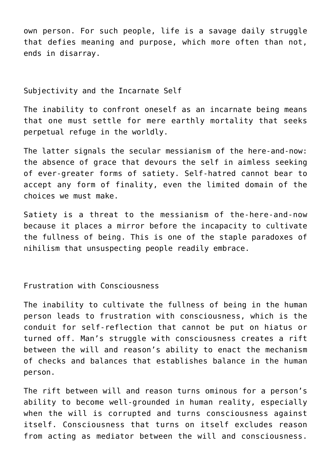own person. For such people, life is a savage daily struggle that defies meaning and purpose, which more often than not, ends in disarray.

Subjectivity and the Incarnate Self

The inability to confront oneself as an incarnate being means that one must settle for mere earthly mortality that seeks perpetual refuge in the worldly.

The latter signals the secular messianism of the here-and-now: the absence of grace that devours the self in aimless seeking of ever-greater forms of satiety. Self-hatred cannot bear to accept any form of finality, even the limited domain of the choices we must make.

Satiety is a threat to the messianism of the-here-and-now because it places a mirror before the incapacity to cultivate the fullness of being. This is one of the staple paradoxes of nihilism that unsuspecting people readily embrace.

Frustration with Consciousness

The inability to cultivate the fullness of being in the human person leads to frustration with consciousness, which is the conduit for self-reflection that cannot be put on hiatus or turned off. Man's struggle with consciousness creates a rift between the will and reason's ability to enact the mechanism of checks and balances that establishes balance in the human person.

The rift between will and reason turns ominous for a person's ability to become well-grounded in human reality, especially when the will is corrupted and turns consciousness against itself. Consciousness that turns on itself excludes reason from acting as mediator between the will and consciousness.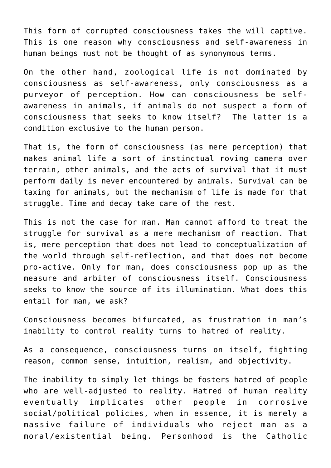This form of corrupted consciousness takes the will captive. This is one reason why consciousness and self-awareness in human beings must not be thought of as synonymous terms.

On the other hand, zoological life is not dominated by consciousness as self-awareness, only consciousness as a purveyor of perception. How can consciousness be selfawareness in animals, if animals do not suspect a form of consciousness that seeks to know itself? The latter is a condition exclusive to the human person.

That is, the form of consciousness (as mere perception) that makes animal life a sort of instinctual roving camera over terrain, other animals, and the acts of survival that it must perform daily is never encountered by animals. Survival can be taxing for animals, but the mechanism of life is made for that struggle. Time and decay take care of the rest.

This is not the case for man. Man cannot afford to treat the struggle for survival as a mere mechanism of reaction. That is, mere perception that does not lead to conceptualization of the world through self-reflection, and that does not become pro-active. Only for man, does consciousness pop up as the measure and arbiter of consciousness itself. Consciousness seeks to know the source of its illumination. What does this entail for man, we ask?

Consciousness becomes bifurcated, as frustration in man's inability to control reality turns to hatred of reality.

As a consequence, consciousness turns on itself, fighting reason, common sense, intuition, realism, and objectivity.

The inability to simply let things be fosters hatred of people who are well-adjusted to reality. Hatred of human reality eventually implicates other people in corrosive social/political policies, when in essence, it is merely a massive failure of individuals who reject man as a moral/existential being. Personhood is the Catholic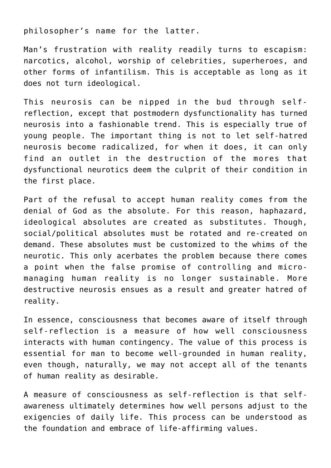philosopher's name for the latter.

Man's frustration with reality readily turns to escapism: narcotics, alcohol, worship of celebrities, superheroes, and other forms of infantilism. This is acceptable as long as it does not turn ideological.

This neurosis can be nipped in the bud through selfreflection, except that postmodern dysfunctionality has turned neurosis into a fashionable trend. This is especially true of young people. The important thing is not to let self-hatred neurosis become radicalized, for when it does, it can only find an outlet in the destruction of the mores that dysfunctional neurotics deem the culprit of their condition in the first place.

Part of the refusal to accept human reality comes from the denial of God as the absolute. For this reason, haphazard, ideological absolutes are created as substitutes. Though, social/political absolutes must be rotated and re-created on demand. These absolutes must be customized to the whims of the neurotic. This only acerbates the problem because there comes a point when the false promise of controlling and micromanaging human reality is no longer sustainable. More destructive neurosis ensues as a result and greater hatred of reality.

In essence, consciousness that becomes aware of itself through self-reflection is a measure of how well consciousness interacts with human contingency. The value of this process is essential for man to become well-grounded in human reality, even though, naturally, we may not accept all of the tenants of human reality as desirable.

A measure of consciousness as self-reflection is that selfawareness ultimately determines how well persons adjust to the exigencies of daily life. This process can be understood as the foundation and embrace of life-affirming values.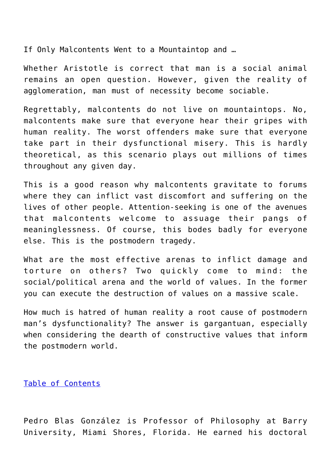If Only Malcontents Went to a Mountaintop and …

Whether Aristotle is correct that man is a social animal remains an open question. However, given the reality of agglomeration, man must of necessity become sociable.

Regrettably, malcontents do not live on mountaintops. No, malcontents make sure that everyone hear their gripes with human reality. The worst offenders make sure that everyone take part in their dysfunctional misery. This is hardly theoretical, as this scenario plays out millions of times throughout any given day.

This is a good reason why malcontents gravitate to forums where they can inflict vast discomfort and suffering on the lives of other people. Attention-seeking is one of the avenues that malcontents welcome to assuage their pangs of meaninglessness. Of course, this bodes badly for everyone else. This is the postmodern tragedy.

What are the most effective arenas to inflict damage and torture on others? Two quickly come to mind: the social/political arena and the world of values. In the former you can execute the destruction of values on a massive scale.

How much is hatred of human reality a root cause of postmodern man's dysfunctionality? The answer is gargantuan, especially when considering the dearth of constructive values that inform the postmodern world.

[Table of Contents](https://www.newenglishreview.org/)

Pedro Blas González is Professor of Philosophy at Barry University, Miami Shores, Florida. He earned his doctoral